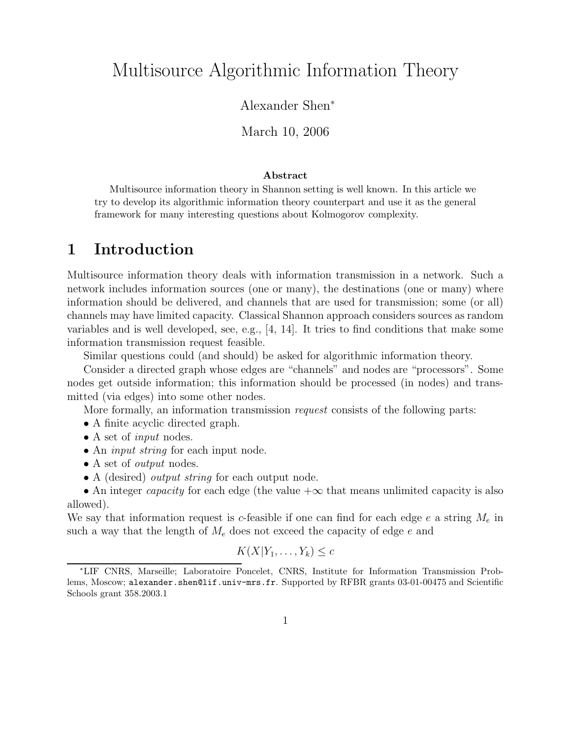# Multisource Algorithmic Information Theory

Alexander Shen<sup>∗</sup>

March 10, 2006

#### Abstract

Multisource information theory in Shannon setting is well known. In this article we try to develop its algorithmic information theory counterpart and use it as the general framework for many interesting questions about Kolmogorov complexity.

## 1 Introduction

Multisource information theory deals with information transmission in a network. Such a network includes information sources (one or many), the destinations (one or many) where information should be delivered, and channels that are used for transmission; some (or all) channels may have limited capacity. Classical Shannon approach considers sources as random variables and is well developed, see, e.g.,  $[4, 14]$ . It tries to find conditions that make some information transmission request feasible.

Similar questions could (and should) be asked for algorithmic information theory.

Consider a directed graph whose edges are "channels" and nodes are "processors". Some nodes get outside information; this information should be processed (in nodes) and transmitted (via edges) into some other nodes.

More formally, an information transmission *request* consists of the following parts:

- A finite acyclic directed graph.
- A set of *input* nodes.
- An *input string* for each input node.
- A set of *output* nodes.
- A (desired) *output string* for each output node.

• An integer *capacity* for each edge (the value  $+\infty$  that means unlimited capacity is also allowed).

We say that information request is c-feasible if one can find for each edge e a string  $M_e$  in such a way that the length of  $M_e$  does not exceed the capacity of edge  $e$  and

$$
K(X|Y_1,\ldots,Y_k)\leq c
$$

<sup>∗</sup>LIF CNRS, Marseille; Laboratoire Poncelet, CNRS, Institute for Information Transmission Problems, Moscow; alexander.shen@lif.univ-mrs.fr. Supported by RFBR grants 03-01-00475 and Scientific Schools grant 358.2003.1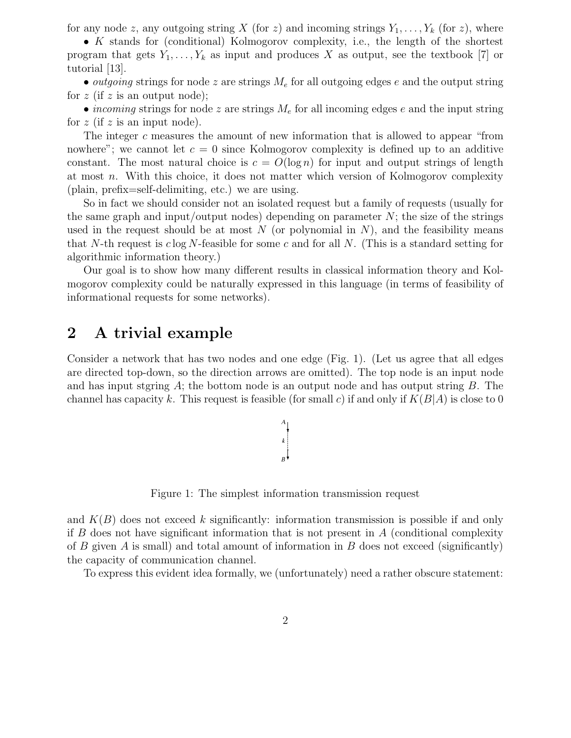for any node z, any outgoing string X (for z) and incoming strings  $Y_1, \ldots, Y_k$  (for z), where

•  $K$  stands for (conditional) Kolmogorov complexity, i.e., the length of the shortest program that gets  $Y_1, \ldots, Y_k$  as input and produces X as output, see the textbook [7] or tutorial [13].

• outgoing strings for node z are strings  $M_e$  for all outgoing edges e and the output string for  $z$  (if  $z$  is an output node);

• incoming strings for node z are strings  $M_e$  for all incoming edges e and the input string for  $z$  (if  $z$  is an input node).

The integer c measures the amount of new information that is allowed to appear "from nowhere"; we cannot let  $c = 0$  since Kolmogorov complexity is defined up to an additive constant. The most natural choice is  $c = O(\log n)$  for input and output strings of length at most n. With this choice, it does not matter which version of Kolmogorov complexity (plain, prefix=self-delimiting, etc.) we are using.

So in fact we should consider not an isolated request but a family of requests (usually for the same graph and input/output nodes) depending on parameter  $N$ ; the size of the strings used in the request should be at most  $N$  (or polynomial in  $N$ ), and the feasibility means that N-th request is  $c \log N$ -feasible for some c and for all N. (This is a standard setting for algorithmic information theory.)

Our goal is to show how many different results in classical information theory and Kolmogorov complexity could be naturally expressed in this language (in terms of feasibility of informational requests for some networks).

### 2 A trivial example

Consider a network that has two nodes and one edge (Fig. 1). (Let us agree that all edges are directed top-down, so the direction arrows are omitted). The top node is an input node and has input stgring  $A$ ; the bottom node is an output node and has output string  $B$ . The channel has capacity k. This request is feasible (for small c) if and only if  $K(B|A)$  is close to 0

$$
\begin{array}{c}\nA \\
k \\
B\n\end{array}
$$

Figure 1: The simplest information transmission request

and  $K(B)$  does not exceed k significantly: information transmission is possible if and only if B does not have significant information that is not present in  $A$  (conditional complexity of B given A is small) and total amount of information in B does not exceed (significantly) the capacity of communication channel.

To express this evident idea formally, we (unfortunately) need a rather obscure statement: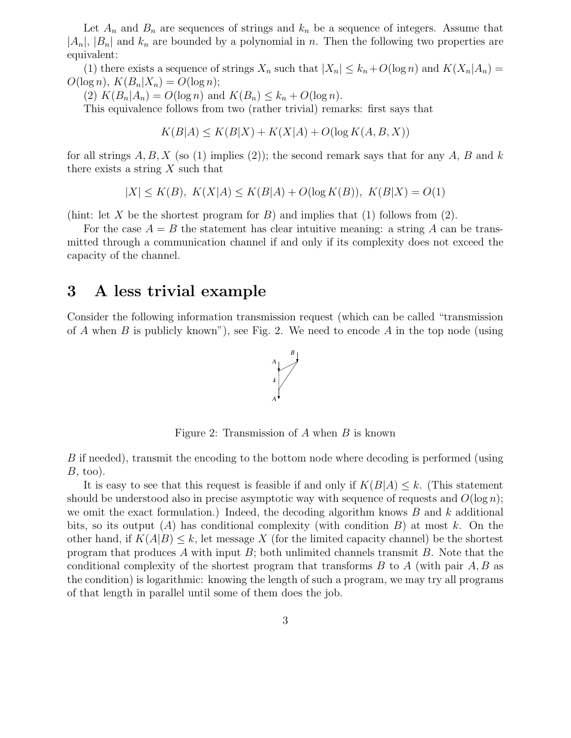Let  $A_n$  and  $B_n$  are sequences of strings and  $k_n$  be a sequence of integers. Assume that  $|A_n|, |B_n|$  and  $k_n$  are bounded by a polynomial in n. Then the following two properties are equivalent:

(1) there exists a sequence of strings  $X_n$  such that  $|X_n| \leq k_n + O(\log n)$  and  $K(X_n|A_n) =$  $O(\log n)$ ,  $K(B_n|X_n) = O(\log n)$ ;

(2)  $K(B_n|A_n) = O(\log n)$  and  $K(B_n) \le k_n + O(\log n)$ .

This equivalence follows from two (rather trivial) remarks: first says that

 $K(B|A) \leq K(B|X) + K(X|A) + O(\log K(A, B, X))$ 

for all strings  $A, B, X$  (so (1) implies (2)); the second remark says that for any  $A, B$  and  $k$ there exists a string  $X$  such that

$$
|X| \le K(B), K(X|A) \le K(B|A) + O(\log K(B)), K(B|X) = O(1)
$$

(hint: let X be the shortest program for B) and implies that  $(1)$  follows from  $(2)$ .

For the case  $A = B$  the statement has clear intuitive meaning: a string A can be transmitted through a communication channel if and only if its complexity does not exceed the capacity of the channel.

## 3 A less trivial example

Consider the following information transmission request (which can be called "transmission of A when B is publicly known"), see Fig. 2. We need to encode A in the top node (using



Figure 2: Transmission of  $A$  when  $B$  is known

B if needed), transmit the encoding to the bottom node where decoding is performed (using  $B, \text{too}$ .

It is easy to see that this request is feasible if and only if  $K(B|A) \leq k$ . (This statement should be understood also in precise asymptotic way with sequence of requests and  $O(\log n)$ ; we omit the exact formulation.) Indeed, the decoding algorithm knows  $B$  and  $k$  additional bits, so its output  $(A)$  has conditional complexity (with condition  $B$ ) at most k. On the other hand, if  $K(A|B) \leq k$ , let message X (for the limited capacity channel) be the shortest program that produces A with input  $B$ ; both unlimited channels transmit  $B$ . Note that the conditional complexity of the shortest program that transforms  $B$  to  $A$  (with pair  $A, B$  as the condition) is logarithmic: knowing the length of such a program, we may try all programs of that length in parallel until some of them does the job.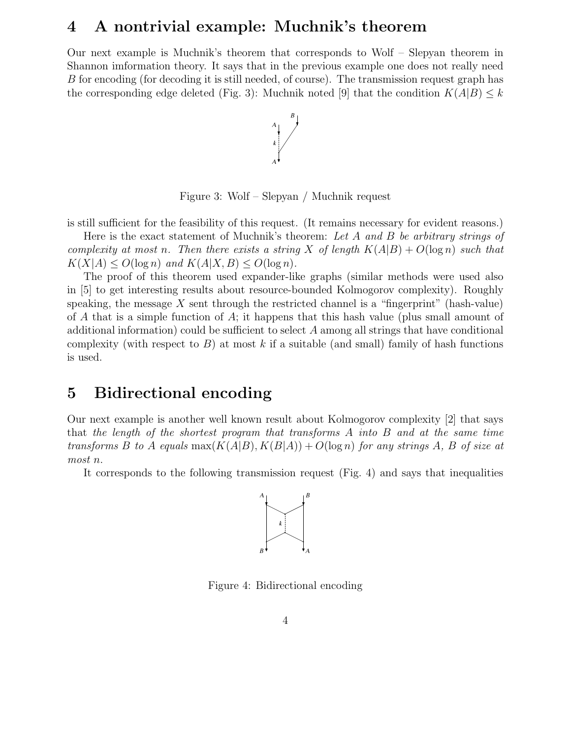## 4 A nontrivial example: Muchnik's theorem

Our next example is Muchnik's theorem that corresponds to Wolf – Slepyan theorem in Shannon imformation theory. It says that in the previous example one does not really need B for encoding (for decoding it is still needed, of course). The transmission request graph has the corresponding edge deleted (Fig. 3): Muchnik noted [9] that the condition  $K(A|B) \leq k$ 



Figure 3: Wolf – Slepyan / Muchnik request

is still sufficient for the feasibility of this request. (It remains necessary for evident reasons.)

Here is the exact statement of Muchnik's theorem: Let A and B be arbitrary strings of complexity at most n. Then there exists a string X of length  $K(A|B) + O(\log n)$  such that  $K(X|A) \leq O(\log n)$  and  $K(A|X, B) \leq O(\log n)$ .

The proof of this theorem used expander-like graphs (similar methods were used also in [5] to get interesting results about resource-bounded Kolmogorov complexity). Roughly speaking, the message  $X$  sent through the restricted channel is a "fingerprint" (hash-value) of A that is a simple function of  $A$ ; it happens that this hash value (plus small amount of additional information) could be sufficient to select  $A$  among all strings that have conditional complexity (with respect to B) at most k if a suitable (and small) family of hash functions is used.

## 5 Bidirectional encoding

Our next example is another well known result about Kolmogorov complexity [2] that says that the length of the shortest program that transforms A into B and at the same time transforms B to A equals max( $K(A|B)$ ,  $K(B|A)$ ) +  $O(log n)$  for any strings A, B of size at most n.

It corresponds to the following transmission request (Fig. 4) and says that inequalities



Figure 4: Bidirectional encoding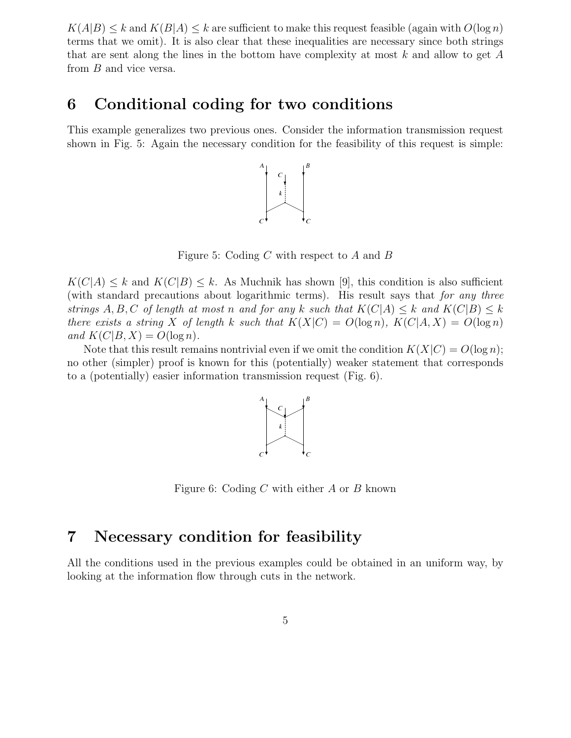$K(A|B) \leq k$  and  $K(B|A) \leq k$  are sufficient to make this request feasible (again with  $O(\log n)$ ) terms that we omit). It is also clear that these inequalities are necessary since both strings that are sent along the lines in the bottom have complexity at most  $k$  and allow to get  $A$ from B and vice versa.

## 6 Conditional coding for two conditions

This example generalizes two previous ones. Consider the information transmission request shown in Fig. 5: Again the necessary condition for the feasibility of this request is simple:



Figure 5: Coding  $C$  with respect to  $A$  and  $B$ 

 $K(C|A) \leq k$  and  $K(C|B) \leq k$ . As Muchnik has shown [9], this condition is also sufficient (with standard precautions about logarithmic terms). His result says that for any three strings A, B, C of length at most n and for any k such that  $K(C|A) \leq k$  and  $K(C|B) \leq k$ there exists a string X of length k such that  $K(X|C) = O(\log n)$ ,  $K(C|A, X) = O(\log n)$ and  $K(C|B, X) = O(\log n)$ .

Note that this result remains nontrivial even if we omit the condition  $K(X|C) = O(\log n);$ no other (simpler) proof is known for this (potentially) weaker statement that corresponds to a (potentially) easier information transmission request (Fig. 6).



Figure 6: Coding C with either  $A$  or  $B$  known

## 7 Necessary condition for feasibility

All the conditions used in the previous examples could be obtained in an uniform way, by looking at the information flow through cuts in the network.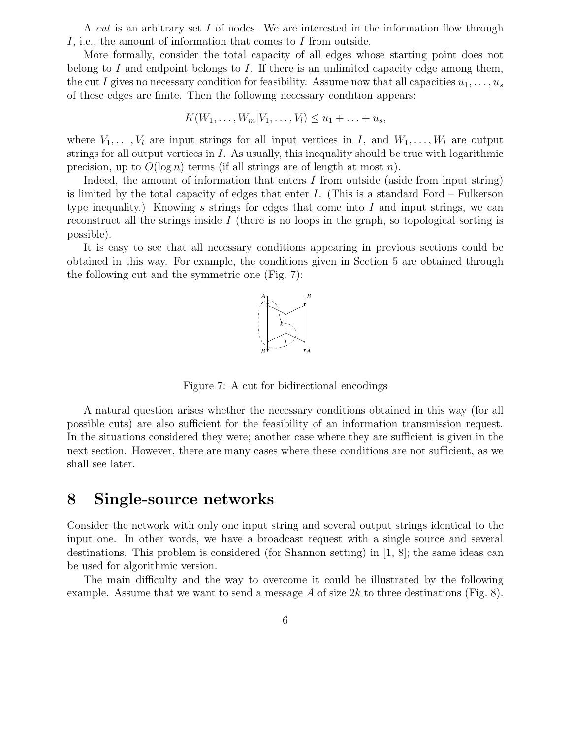A cut is an arbitrary set I of nodes. We are interested in the information flow through I, i.e., the amount of information that comes to I from outside.

More formally, consider the total capacity of all edges whose starting point does not belong to  $I$  and endpoint belongs to  $I$ . If there is an unlimited capacity edge among them, the cut I gives no necessary condition for feasibility. Assume now that all capacities  $u_1, \ldots, u_s$ of these edges are finite. Then the following necessary condition appears:

$$
K(W_1,\ldots,W_m|V_1,\ldots,V_l)\leq u_1+\ldots+u_s,
$$

where  $V_1, \ldots, V_l$  are input strings for all input vertices in I, and  $W_1, \ldots, W_l$  are output strings for all output vertices in  $I$ . As usually, this inequality should be true with logarithmic precision, up to  $O(\log n)$  terms (if all strings are of length at most n).

Indeed, the amount of information that enters  $I$  from outside (aside from input string) is limited by the total capacity of edges that enter  $I$ . (This is a standard Ford – Fulkerson type inequality.) Knowing s strings for edges that come into  $I$  and input strings, we can reconstruct all the strings inside  $I$  (there is no loops in the graph, so topological sorting is possible).

It is easy to see that all necessary conditions appearing in previous sections could be obtained in this way. For example, the conditions given in Section 5 are obtained through the following cut and the symmetric one (Fig. 7):



Figure 7: A cut for bidirectional encodings

A natural question arises whether the necessary conditions obtained in this way (for all possible cuts) are also sufficient for the feasibility of an information transmission request. In the situations considered they were; another case where they are sufficient is given in the next section. However, there are many cases where these conditions are not sufficient, as we shall see later.

## 8 Single-source networks

Consider the network with only one input string and several output strings identical to the input one. In other words, we have a broadcast request with a single source and several destinations. This problem is considered (for Shannon setting) in [1, 8]; the same ideas can be used for algorithmic version.

The main difficulty and the way to overcome it could be illustrated by the following example. Assume that we want to send a message A of size  $2k$  to three destinations (Fig. 8).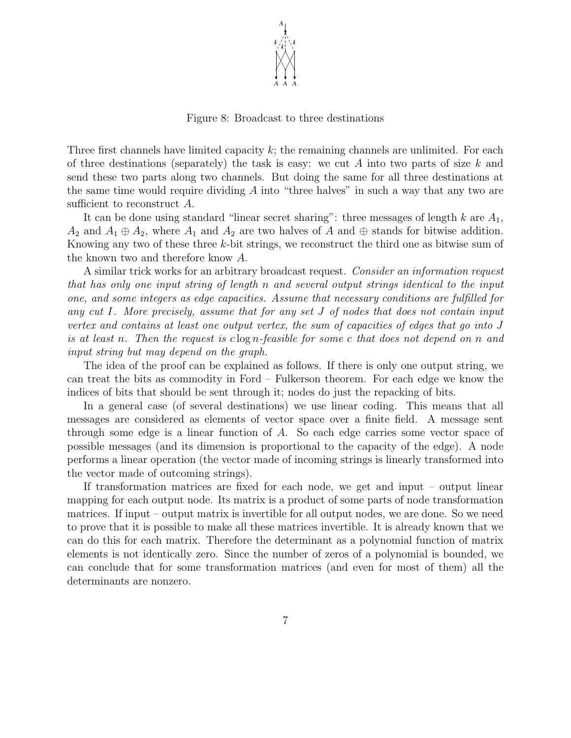

Figure 8: Broadcast to three destinations

Three first channels have limited capacity  $k$ ; the remaining channels are unlimited. For each of three destinations (separately) the task is easy: we cut A into two parts of size  $k$  and send these two parts along two channels. But doing the same for all three destinations at the same time would require dividing  $A$  into "three halves" in such a way that any two are sufficient to reconstruct A.

It can be done using standard "linear secret sharing": three messages of length  $k$  are  $A_1$ ,  $A_2$  and  $A_1 \oplus A_2$ , where  $A_1$  and  $A_2$  are two halves of A and  $\oplus$  stands for bitwise addition. Knowing any two of these three k-bit strings, we reconstruct the third one as bitwise sum of the known two and therefore know A.

A similar trick works for an arbitrary broadcast request. Consider an information request that has only one input string of length n and several output strings identical to the input one, and some integers as edge capacities. Assume that necessary conditions are fulfilled for any cut I. More precisely, assume that for any set J of nodes that does not contain input vertex and contains at least one output vertex, the sum of capacities of edges that go into J is at least n. Then the request is  $c \log n$ -feasible for some c that does not depend on n and input string but may depend on the graph.

The idea of the proof can be explained as follows. If there is only one output string, we can treat the bits as commodity in Ford – Fulkerson theorem. For each edge we know the indices of bits that should be sent through it; nodes do just the repacking of bits.

In a general case (of several destinations) we use linear coding. This means that all messages are considered as elements of vector space over a finite field. A message sent through some edge is a linear function of A. So each edge carries some vector space of possible messages (and its dimension is proportional to the capacity of the edge). A node performs a linear operation (the vector made of incoming strings is linearly transformed into the vector made of outcoming strings).

If transformation matrices are fixed for each node, we get and input – output linear mapping for each output node. Its matrix is a product of some parts of node transformation matrices. If input – output matrix is invertible for all output nodes, we are done. So we need to prove that it is possible to make all these matrices invertible. It is already known that we can do this for each matrix. Therefore the determinant as a polynomial function of matrix elements is not identically zero. Since the number of zeros of a polynomial is bounded, we can conclude that for some transformation matrices (and even for most of them) all the determinants are nonzero.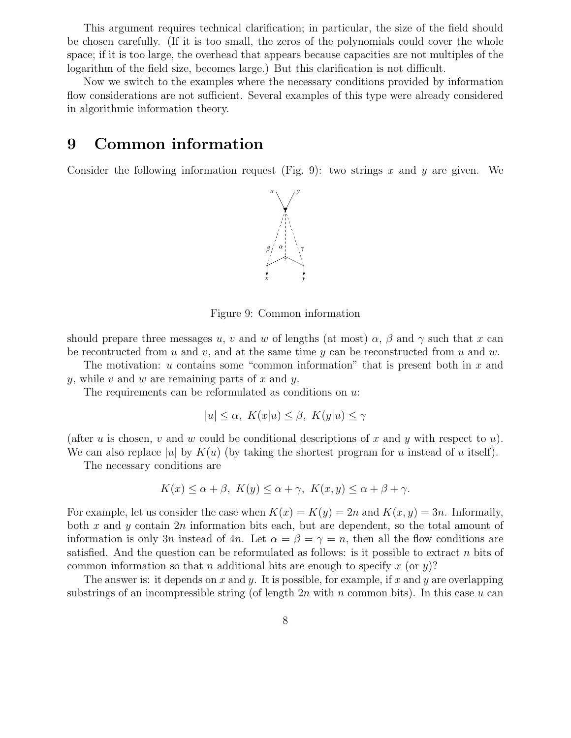This argument requires technical clarification; in particular, the size of the field should be chosen carefully. (If it is too small, the zeros of the polynomials could cover the whole space; if it is too large, the overhead that appears because capacities are not multiples of the logarithm of the field size, becomes large.) But this clarification is not difficult.

Now we switch to the examples where the necessary conditions provided by information flow considerations are not sufficient. Several examples of this type were already considered in algorithmic information theory.

## 9 Common information

Consider the following information request (Fig. 9): two strings x and y are given. We



Figure 9: Common information

should prepare three messages u, v and w of lengths (at most)  $\alpha$ ,  $\beta$  and  $\gamma$  such that x can be recontructed from u and v, and at the same time y can be reconstructed from u and w.

The motivation: u contains some "common information" that is present both in  $x$  and y, while v and w are remaining parts of x and y.

The requirements can be reformulated as conditions on u:

$$
|u| \le \alpha, \ K(x|u) \le \beta, \ K(y|u) \le \gamma
$$

(after u is chosen, v and w could be conditional descriptions of x and y with respect to u). We can also replace |u| by  $K(u)$  (by taking the shortest program for u instead of u itself).

The necessary conditions are

$$
K(x) \le \alpha + \beta, \ K(y) \le \alpha + \gamma, \ K(x, y) \le \alpha + \beta + \gamma.
$$

For example, let us consider the case when  $K(x) = K(y) = 2n$  and  $K(x, y) = 3n$ . Informally, both x and y contain  $2n$  information bits each, but are dependent, so the total amount of information is only 3n instead of 4n. Let  $\alpha = \beta = \gamma = n$ , then all the flow conditions are satisfied. And the question can be reformulated as follows: is it possible to extract  $n$  bits of common information so that n additional bits are enough to specify x (or  $y$ )?

The answer is: it depends on x and y. It is possible, for example, if x and y are overlapping substrings of an incompressible string (of length  $2n$  with n common bits). In this case u can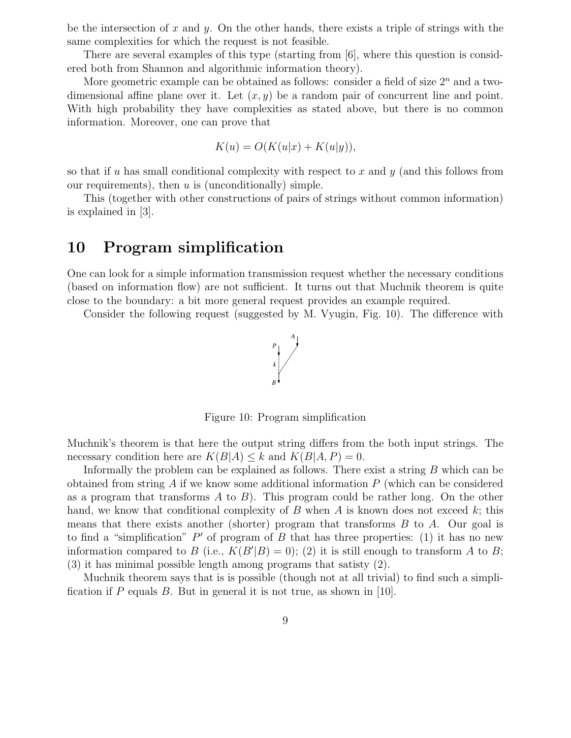be the intersection of x and y. On the other hands, there exists a triple of strings with the same complexities for which the request is not feasible.

There are several examples of this type (starting from [6], where this question is considered both from Shannon and algorithmic information theory).

More geometric example can be obtained as follows: consider a field of size  $2^n$  and a twodimensional affine plane over it. Let  $(x, y)$  be a random pair of concurrent line and point. With high probability they have complexities as stated above, but there is no common information. Moreover, one can prove that

$$
K(u) = O(K(u|x) + K(u|y)),
$$

so that if u has small conditional complexity with respect to x and  $y$  (and this follows from our requirements), then  $u$  is (unconditionally) simple.

This (together with other constructions of pairs of strings without common information) is explained in [3].

## 10 Program simplification

One can look for a simple information transmission request whether the necessary conditions (based on information flow) are not sufficient. It turns out that Muchnik theorem is quite close to the boundary: a bit more general request provides an example required.

Consider the following request (suggested by M. Vyugin, Fig. 10). The difference with



Figure 10: Program simplification

Muchnik's theorem is that here the output string differs from the both input strings. The necessary condition here are  $K(B|A) \leq k$  and  $K(B|A, P) = 0$ .

Informally the problem can be explained as follows. There exist a string B which can be obtained from string A if we know some additional information P (which can be considered as a program that transforms  $A$  to  $B$ ). This program could be rather long. On the other hand, we know that conditional complexity of B when A is known does not exceed k; this means that there exists another (shorter) program that transforms  $B$  to  $A$ . Our goal is to find a "simplification"  $P'$  of program of B that has three properties: (1) it has no new information compared to B (i.e.,  $K(B'|B) = 0$ ); (2) it is still enough to transform A to B; (3) it has minimal possible length among programs that satisty (2).

Muchnik theorem says that is is possible (though not at all trivial) to find such a simplification if P equals B. But in general it is not true, as shown in [10].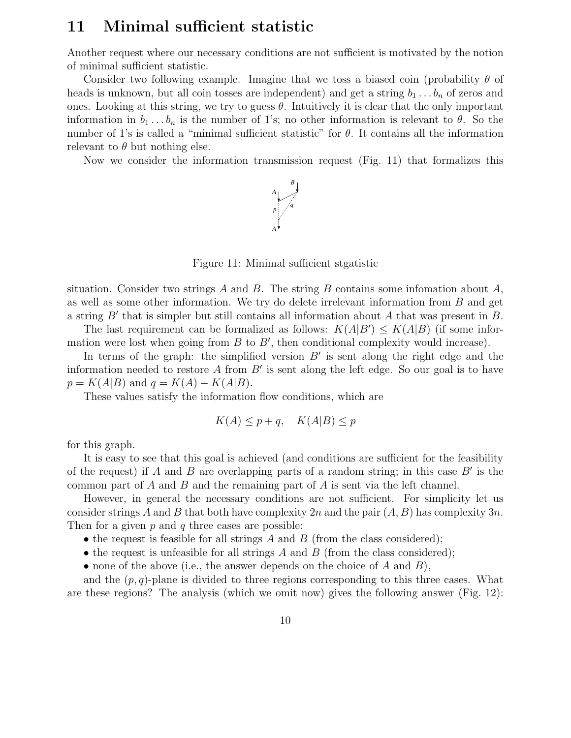## 11 Minimal sufficient statistic

Another request where our necessary conditions are not sufficient is motivated by the notion of minimal sufficient statistic.

Consider two following example. Imagine that we toss a biased coin (probability  $\theta$  of heads is unknown, but all coin tosses are independent) and get a string  $b_1 \ldots b_n$  of zeros and ones. Looking at this string, we try to guess  $\theta$ . Intuitively it is clear that the only important information in  $b_1 \ldots b_n$  is the number of 1's; no other information is relevant to  $\theta$ . So the number of 1's is called a "minimal sufficient statistic" for  $\theta$ . It contains all the information relevant to  $\theta$  but nothing else.

Now we consider the information transmission request (Fig. 11) that formalizes this



Figure 11: Minimal sufficient stgatistic

situation. Consider two strings A and B. The string B contains some infomation about  $A$ , as well as some other information. We try do delete irrelevant information from B and get a string  $B'$  that is simpler but still contains all information about A that was present in  $\overline{B}$ .

The last requirement can be formalized as follows:  $K(A|B') \leq K(A|B)$  (if some information were lost when going from  $B$  to  $B'$ , then conditional complexity would increase).

In terms of the graph: the simplified version  $B'$  is sent along the right edge and the information needed to restore  $A$  from  $B'$  is sent along the left edge. So our goal is to have  $p = K(A|B)$  and  $q = K(A) - K(A|B)$ .

These values satisfy the information flow conditions, which are

$$
K(A) \le p + q, \quad K(A|B) \le p
$$

for this graph.

It is easy to see that this goal is achieved (and conditions are sufficient for the feasibility of the request) if A and B are overlapping parts of a random string; in this case  $B'$  is the common part of  $A$  and  $B$  and the remaining part of  $A$  is sent via the left channel.

However, in general the necessary conditions are not sufficient. For simplicity let us consider strings A and B that both have complexity 2n and the pair  $(A, B)$  has complexity 3n. Then for a given  $p$  and  $q$  three cases are possible:

- the request is feasible for all strings A and B (from the class considered);
- the request is unfeasible for all strings  $A$  and  $B$  (from the class considered);
- none of the above (i.e., the answer depends on the choice of A and  $B$ ),

and the  $(p, q)$ -plane is divided to three regions corresponding to this three cases. What are these regions? The analysis (which we omit now) gives the following answer (Fig. 12):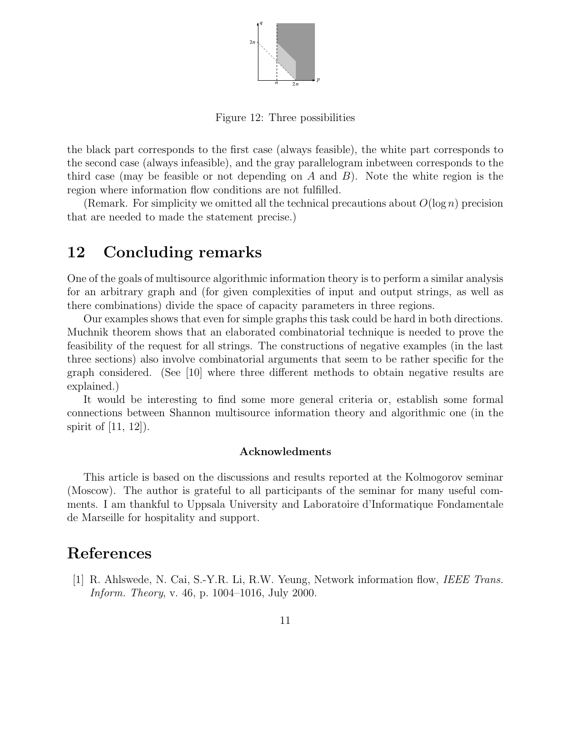

Figure 12: Three possibilities

the black part corresponds to the first case (always feasible), the white part corresponds to the second case (always infeasible), and the gray parallelogram inbetween corresponds to the third case (may be feasible or not depending on  $A$  and  $B$ ). Note the white region is the region where information flow conditions are not fulfilled.

(Remark. For simplicity we omitted all the technical precautions about  $O(\log n)$  precision that are needed to made the statement precise.)

## 12 Concluding remarks

One of the goals of multisource algorithmic information theory is to perform a similar analysis for an arbitrary graph and (for given complexities of input and output strings, as well as there combinations) divide the space of capacity parameters in three regions.

Our examples shows that even for simple graphs this task could be hard in both directions. Muchnik theorem shows that an elaborated combinatorial technique is needed to prove the feasibility of the request for all strings. The constructions of negative examples (in the last three sections) also involve combinatorial arguments that seem to be rather specific for the graph considered. (See [10] where three different methods to obtain negative results are explained.)

It would be interesting to find some more general criteria or, establish some formal connections between Shannon multisource information theory and algorithmic one (in the spirit of  $[11, 12]$ ).

### Acknowledments

This article is based on the discussions and results reported at the Kolmogorov seminar (Moscow). The author is grateful to all participants of the seminar for many useful comments. I am thankful to Uppsala University and Laboratoire d'Informatique Fondamentale de Marseille for hospitality and support.

## References

[1] R. Ahlswede, N. Cai, S.-Y.R. Li, R.W. Yeung, Network information flow, IEEE Trans. Inform. Theory, v. 46, p. 1004–1016, July 2000.